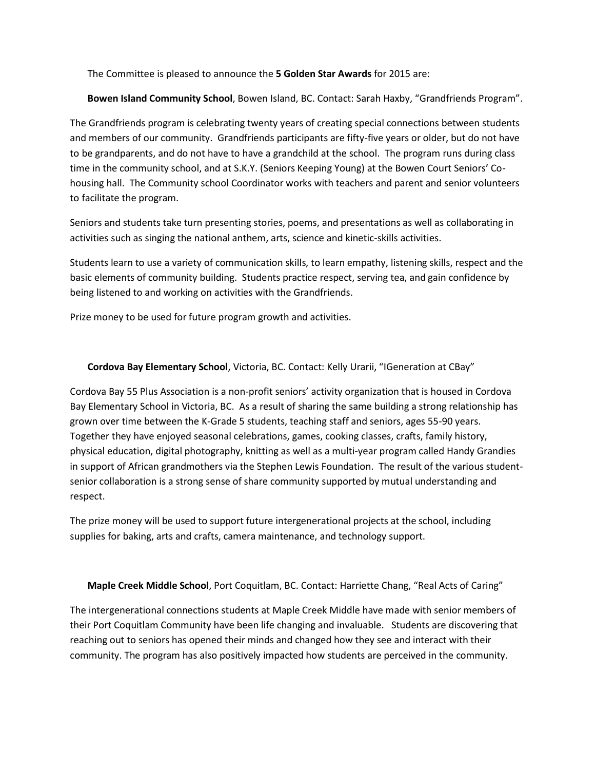The Committee is pleased to announce the **5 Golden Star Awards** for 2015 are:

## **Bowen Island Community School**, Bowen Island, BC. Contact: Sarah Haxby, "Grandfriends Program".

The Grandfriends program is celebrating twenty years of creating special connections between students and members of our community. Grandfriends participants are fifty-five years or older, but do not have to be grandparents, and do not have to have a grandchild at the school. The program runs during class time in the community school, and at S.K.Y. (Seniors Keeping Young) at the Bowen Court Seniors' Cohousing hall. The Community school Coordinator works with teachers and parent and senior volunteers to facilitate the program.

Seniors and students take turn presenting stories, poems, and presentations as well as collaborating in activities such as singing the national anthem, arts, science and kinetic-skills activities.

Students learn to use a variety of communication skills, to learn empathy, listening skills, respect and the basic elements of community building. Students practice respect, serving tea, and gain confidence by being listened to and working on activities with the Grandfriends.

Prize money to be used for future program growth and activities.

## **Cordova Bay Elementary School**, Victoria, BC. Contact: Kelly Urarii, "IGeneration at CBay"

Cordova Bay 55 Plus Association is a non-profit seniors' activity organization that is housed in Cordova Bay Elementary School in Victoria, BC. As a result of sharing the same building a strong relationship has grown over time between the K-Grade 5 students, teaching staff and seniors, ages 55-90 years. Together they have enjoyed seasonal celebrations, games, cooking classes, crafts, family history, physical education, digital photography, knitting as well as a multi-year program called Handy Grandies in support of African grandmothers via the Stephen Lewis Foundation. The result of the various studentsenior collaboration is a strong sense of share community supported by mutual understanding and respect.

The prize money will be used to support future intergenerational projects at the school, including supplies for baking, arts and crafts, camera maintenance, and technology support.

## **Maple Creek Middle School**, Port Coquitlam, BC. Contact: Harriette Chang, "Real Acts of Caring"

The intergenerational connections students at Maple Creek Middle have made with senior members of their Port Coquitlam Community have been life changing and invaluable. Students are discovering that reaching out to seniors has opened their minds and changed how they see and interact with their community. The program has also positively impacted how students are perceived in the community.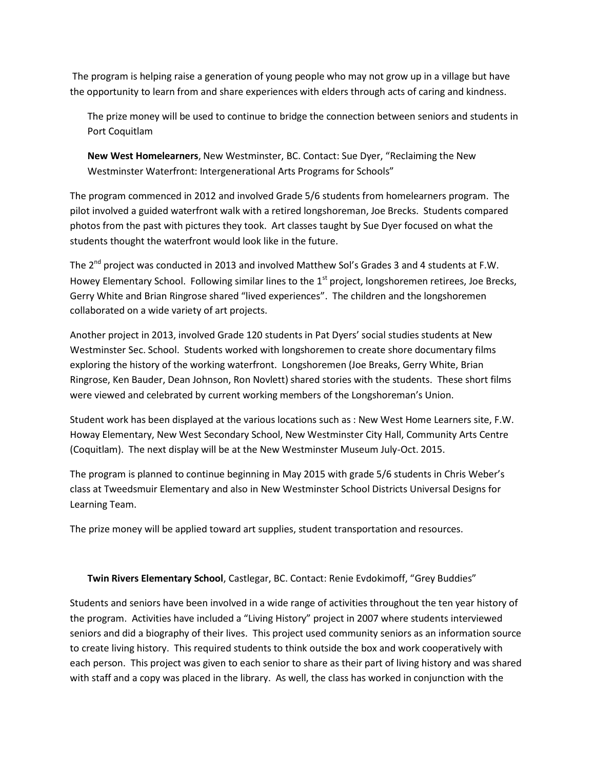The program is helping raise a generation of young people who may not grow up in a village but have the opportunity to learn from and share experiences with elders through acts of caring and kindness.

The prize money will be used to continue to bridge the connection between seniors and students in Port Coquitlam

**New West Homelearners**, New Westminster, BC. Contact: Sue Dyer, "Reclaiming the New Westminster Waterfront: Intergenerational Arts Programs for Schools"

The program commenced in 2012 and involved Grade 5/6 students from homelearners program. The pilot involved a guided waterfront walk with a retired longshoreman, Joe Brecks. Students compared photos from the past with pictures they took. Art classes taught by Sue Dyer focused on what the students thought the waterfront would look like in the future.

The 2<sup>nd</sup> project was conducted in 2013 and involved Matthew Sol's Grades 3 and 4 students at F.W. Howey Elementary School. Following similar lines to the 1<sup>st</sup> project, longshoremen retirees, Joe Brecks, Gerry White and Brian Ringrose shared "lived experiences". The children and the longshoremen collaborated on a wide variety of art projects.

Another project in 2013, involved Grade 120 students in Pat Dyers' social studies students at New Westminster Sec. School. Students worked with longshoremen to create shore documentary films exploring the history of the working waterfront. Longshoremen (Joe Breaks, Gerry White, Brian Ringrose, Ken Bauder, Dean Johnson, Ron Novlett) shared stories with the students. These short films were viewed and celebrated by current working members of the Longshoreman's Union.

Student work has been displayed at the various locations such as : New West Home Learners site, F.W. Howay Elementary, New West Secondary School, New Westminster City Hall, Community Arts Centre (Coquitlam). The next display will be at the New Westminster Museum July-Oct. 2015.

The program is planned to continue beginning in May 2015 with grade 5/6 students in Chris Weber's class at Tweedsmuir Elementary and also in New Westminster School Districts Universal Designs for Learning Team.

The prize money will be applied toward art supplies, student transportation and resources.

## **Twin Rivers Elementary School**, Castlegar, BC. Contact: Renie Evdokimoff, "Grey Buddies"

Students and seniors have been involved in a wide range of activities throughout the ten year history of the program. Activities have included a "Living History" project in 2007 where students interviewed seniors and did a biography of their lives. This project used community seniors as an information source to create living history. This required students to think outside the box and work cooperatively with each person. This project was given to each senior to share as their part of living history and was shared with staff and a copy was placed in the library. As well, the class has worked in conjunction with the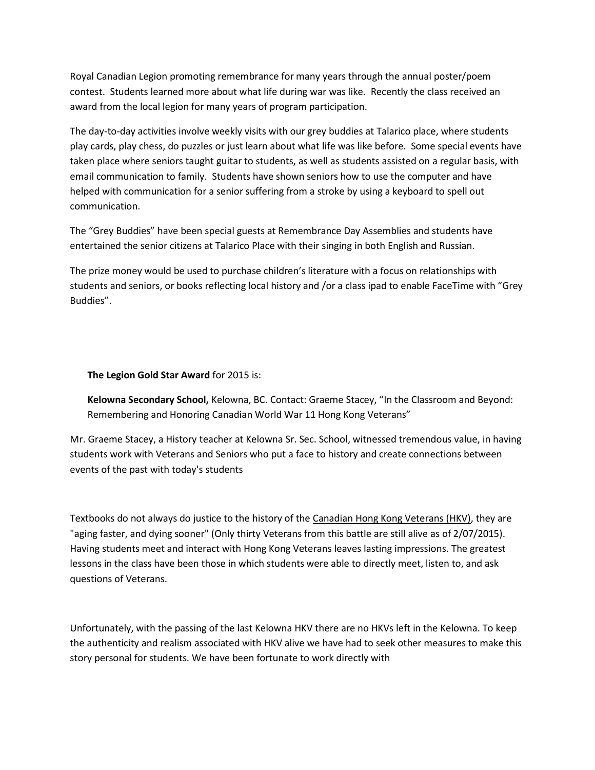Royal Canadian Legion promoting remembrance for many years through the annual poster/poem contest. Students learned more about what life during war was like. Recently the class received an award from the local legion for many years of program participation.

The day-to-day activities involve weekly visits with our grey buddies at Talarico place, where students play cards, play chess, do puzzles or just learn about what life was like before. Some special events have taken place where seniors taught guitar to students, as well as students assisted on a regular basis, with email communication to family. Students have shown seniors how to use the computer and have helped with communication for a senior suffering from a stroke by using a keyboard to spell out communication.

The "Grey Buddies" have been special guests at Remembrance Day Assemblies and students have entertained the senior citizens at Talarico Place with their singing in both English and Russian.

The prize money would be used to purchase children's literature with a focus on relationships with students and seniors, or books reflecting local history and /or a class ipad to enable FaceTime with "Grey Buddies".

**The Legion Gold Star Award** for 2015 is:

**Kelowna Secondary School,** Kelowna, BC. Contact: Graeme Stacey, "In the Classroom and Beyond: Remembering and Honoring Canadian World War 11 Hong Kong Veterans"

Mr. Graeme Stacey, a History teacher at Kelowna Sr. Sec. School, witnessed tremendous value, in having students work with Veterans and Seniors who put a face to history and create connections between events of the past with today's students

Textbooks do not always do justice to the history of the Canadian Hong Kong Veterans (HKV), they are "aging faster, and dying sooner" (Only thirty Veterans from this battle are still alive as of 2/07/2015). Having students meet and interact with Hong Kong Veterans leaves lasting impressions. The greatest lessons in the class have been those in which students were able to directly meet, listen to, and ask questions of Veterans.

Unfortunately, with the passing of the last Kelowna HKV there are no HKVs left in the Kelowna. To keep the authenticity and realism associated with HKV alive we have had to seek other measures to make this story personal for students. We have been fortunate to work directly with